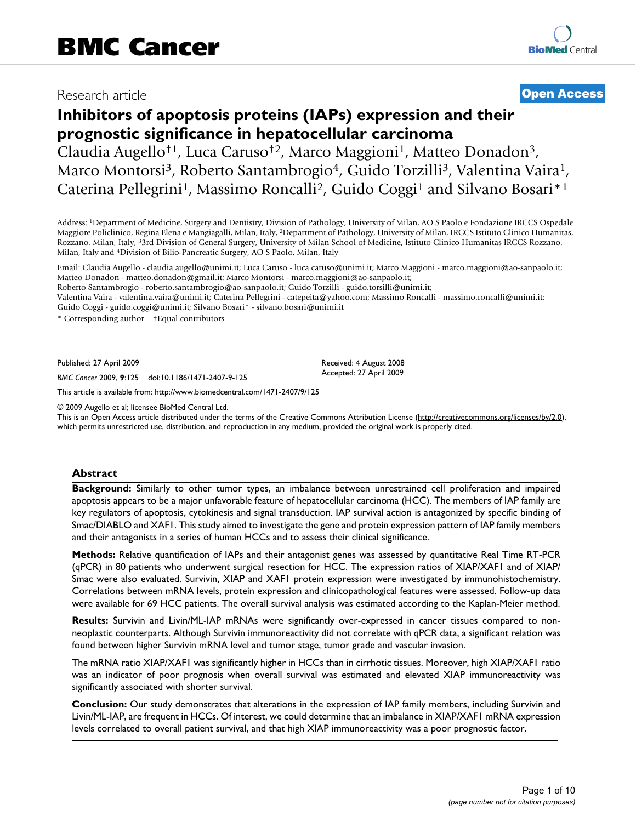# Research article **[Open Access](http://www.biomedcentral.com/info/about/charter/)**

# **Inhibitors of apoptosis proteins (IAPs) expression and their prognostic significance in hepatocellular carcinoma**

Claudia Augello†1, Luca Caruso†2, Marco Maggioni1, Matteo Donadon3, Marco Montorsi<sup>3</sup>, Roberto Santambrogio<sup>4</sup>, Guido Torzilli<sup>3</sup>, Valentina Vaira<sup>1</sup>, Caterina Pellegrini<sup>1</sup>, Massimo Roncalli<sup>2</sup>, Guido Coggi<sup>1</sup> and Silvano Bosari<sup>\*1</sup>

Address: 1Department of Medicine, Surgery and Dentistry, Division of Pathology, University of Milan, AO S Paolo e Fondazione IRCCS Ospedale Maggiore Policlinico, Regina Elena e Mangiagalli, Milan, Italy, 2Department of Pathology, University of Milan, IRCCS Istituto Clinico Humanitas, Rozzano, Milan, Italy, 33rd Division of General Surgery, University of Milan School of Medicine, Istituto Clinico Humanitas IRCCS Rozzano, Milan, Italy and 4Division of Bilio-Pancreatic Surgery, AO S Paolo, Milan, Italy

Email: Claudia Augello - claudia.augello@unimi.it; Luca Caruso - luca.caruso@unimi.it; Marco Maggioni - marco.maggioni@ao-sanpaolo.it; Matteo Donadon - matteo.donadon@gmail.it; Marco Montorsi - marco.maggioni@ao-sanpaolo.it;

Roberto Santambrogio - roberto.santambrogio@ao-sanpaolo.it; Guido Torzilli - guido.torsilli@unimi.it;

Valentina Vaira - valentina.vaira@unimi.it; Caterina Pellegrini - catepeita@yahoo.com; Massimo Roncalli - massimo.roncalli@unimi.it; Guido Coggi - guido.coggi@unimi.it; Silvano Bosari\* - silvano.bosari@unimi.it

\* Corresponding author †Equal contributors

Published: 27 April 2009

*BMC Cancer* 2009, **9**:125 doi:10.1186/1471-2407-9-125

[This article is available from: http://www.biomedcentral.com/1471-2407/9/125](http://www.biomedcentral.com/1471-2407/9/125)

© 2009 Augello et al; licensee BioMed Central Ltd.

This is an Open Access article distributed under the terms of the Creative Commons Attribution License [\(http://creativecommons.org/licenses/by/2.0\)](http://creativecommons.org/licenses/by/2.0), which permits unrestricted use, distribution, and reproduction in any medium, provided the original work is properly cited.

Received: 4 August 2008 Accepted: 27 April 2009

# **Abstract**

**Background:** Similarly to other tumor types, an imbalance between unrestrained cell proliferation and impaired apoptosis appears to be a major unfavorable feature of hepatocellular carcinoma (HCC). The members of IAP family are key regulators of apoptosis, cytokinesis and signal transduction. IAP survival action is antagonized by specific binding of Smac/DIABLO and XAF1. This study aimed to investigate the gene and protein expression pattern of IAP family members and their antagonists in a series of human HCCs and to assess their clinical significance.

**Methods:** Relative quantification of IAPs and their antagonist genes was assessed by quantitative Real Time RT-PCR (qPCR) in 80 patients who underwent surgical resection for HCC. The expression ratios of XIAP/XAF1 and of XIAP/ Smac were also evaluated. Survivin, XIAP and XAF1 protein expression were investigated by immunohistochemistry. Correlations between mRNA levels, protein expression and clinicopathological features were assessed. Follow-up data were available for 69 HCC patients. The overall survival analysis was estimated according to the Kaplan-Meier method.

**Results:** Survivin and Livin/ML-IAP mRNAs were significantly over-expressed in cancer tissues compared to nonneoplastic counterparts. Although Survivin immunoreactivity did not correlate with qPCR data, a significant relation was found between higher Survivin mRNA level and tumor stage, tumor grade and vascular invasion.

The mRNA ratio XIAP/XAF1 was significantly higher in HCCs than in cirrhotic tissues. Moreover, high XIAP/XAF1 ratio was an indicator of poor prognosis when overall survival was estimated and elevated XIAP immunoreactivity was significantly associated with shorter survival.

**Conclusion:** Our study demonstrates that alterations in the expression of IAP family members, including Survivin and Livin/ML-IAP, are frequent in HCCs. Of interest, we could determine that an imbalance in XIAP/XAF1 mRNA expression levels correlated to overall patient survival, and that high XIAP immunoreactivity was a poor prognostic factor.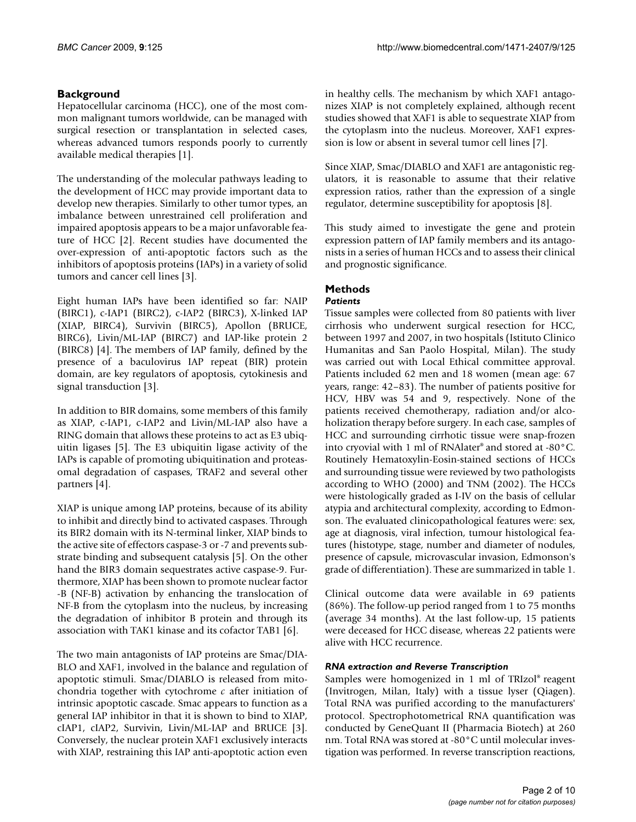# **Background**

Hepatocellular carcinoma (HCC), one of the most common malignant tumors worldwide, can be managed with surgical resection or transplantation in selected cases, whereas advanced tumors responds poorly to currently available medical therapies [1].

The understanding of the molecular pathways leading to the development of HCC may provide important data to develop new therapies. Similarly to other tumor types, an imbalance between unrestrained cell proliferation and impaired apoptosis appears to be a major unfavorable feature of HCC [2]. Recent studies have documented the over-expression of anti-apoptotic factors such as the inhibitors of apoptosis proteins (IAPs) in a variety of solid tumors and cancer cell lines [3].

Eight human IAPs have been identified so far: NAIP (BIRC1), c-IAP1 (BIRC2), c-IAP2 (BIRC3), X-linked IAP (XIAP, BIRC4), Survivin (BIRC5), Apollon (BRUCE, BIRC6), Livin/ML-IAP (BIRC7) and IAP-like protein 2 (BIRC8) [4]. The members of IAP family, defined by the presence of a baculovirus IAP repeat (BIR) protein domain, are key regulators of apoptosis, cytokinesis and signal transduction [3].

In addition to BIR domains, some members of this family as XIAP, c-IAP1, c-IAP2 and Livin/ML-IAP also have a RING domain that allows these proteins to act as E3 ubiquitin ligases [5]. The E3 ubiquitin ligase activity of the IAPs is capable of promoting ubiquitination and proteasomal degradation of caspases, TRAF2 and several other partners [4].

XIAP is unique among IAP proteins, because of its ability to inhibit and directly bind to activated caspases. Through its BIR2 domain with its N-terminal linker, XIAP binds to the active site of effectors caspase-3 or -7 and prevents substrate binding and subsequent catalysis [5]. On the other hand the BIR3 domain sequestrates active caspase-9. Furthermore, XIAP has been shown to promote nuclear factor -B (NF-B) activation by enhancing the translocation of NF-B from the cytoplasm into the nucleus, by increasing the degradation of inhibitor B protein and through its association with TAK1 kinase and its cofactor TAB1 [6].

The two main antagonists of IAP proteins are Smac/DIA-BLO and XAF1, involved in the balance and regulation of apoptotic stimuli. Smac/DIABLO is released from mitochondria together with cytochrome *c* after initiation of intrinsic apoptotic cascade. Smac appears to function as a general IAP inhibitor in that it is shown to bind to XIAP, cIAP1, cIAP2, Survivin, Livin/ML-IAP and BRUCE [3]. Conversely, the nuclear protein XAF1 exclusively interacts with XIAP, restraining this IAP anti-apoptotic action even

in healthy cells. The mechanism by which XAF1 antagonizes XIAP is not completely explained, although recent studies showed that XAF1 is able to sequestrate XIAP from the cytoplasm into the nucleus. Moreover, XAF1 expression is low or absent in several tumor cell lines [7].

Since XIAP, Smac/DIABLO and XAF1 are antagonistic regulators, it is reasonable to assume that their relative expression ratios, rather than the expression of a single regulator, determine susceptibility for apoptosis [8].

This study aimed to investigate the gene and protein expression pattern of IAP family members and its antagonists in a series of human HCCs and to assess their clinical and prognostic significance.

# **Methods** *Patients*

# Tissue samples were collected from 80 patients with liver cirrhosis who underwent surgical resection for HCC, between 1997 and 2007, in two hospitals (Istituto Clinico Humanitas and San Paolo Hospital, Milan). The study was carried out with Local Ethical committee approval. Patients included 62 men and 18 women (mean age: 67 years, range: 42–83). The number of patients positive for HCV, HBV was 54 and 9, respectively. None of the patients received chemotherapy, radiation and/or alcoholization therapy before surgery. In each case, samples of HCC and surrounding cirrhotic tissue were snap-frozen into cryovial with 1 ml of RNAlater® and stored at -80°C. Routinely Hematoxylin-Eosin-stained sections of HCCs and surrounding tissue were reviewed by two pathologists according to WHO (2000) and TNM (2002). The HCCs were histologically graded as I-IV on the basis of cellular atypia and architectural complexity, according to Edmonson. The evaluated clinicopathological features were: sex, age at diagnosis, viral infection, tumour histological features (histotype, stage, number and diameter of nodules, presence of capsule, microvascular invasion, Edmonson's grade of differentiation). These are summarized in table 1.

Clinical outcome data were available in 69 patients (86%). The follow-up period ranged from 1 to 75 months (average 34 months). At the last follow-up, 15 patients were deceased for HCC disease, whereas 22 patients were alive with HCC recurrence.

# *RNA extraction and Reverse Transcription*

Samples were homogenized in 1 ml of TRIzol® reagent (Invitrogen, Milan, Italy) with a tissue lyser (Qiagen). Total RNA was purified according to the manufacturers' protocol. Spectrophotometrical RNA quantification was conducted by GeneQuant II (Pharmacia Biotech) at 260 nm. Total RNA was stored at -80°C until molecular investigation was performed. In reverse transcription reactions,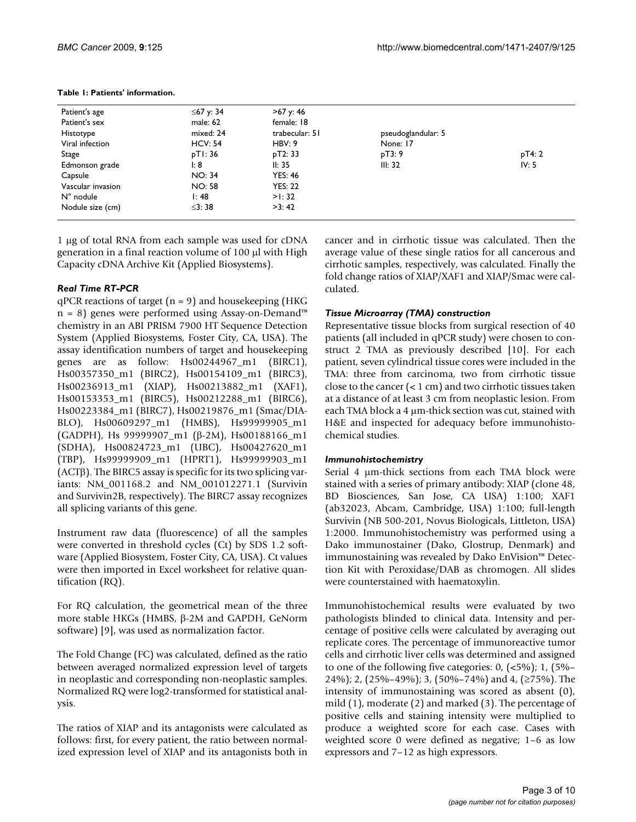| Patient's age      | ≤67 y: 34      | >67 y: 46      |                    |        |
|--------------------|----------------|----------------|--------------------|--------|
| Patient's sex      | male: 62       | female: 18     |                    |        |
| Histotype          | mixed: 24      | trabecular: 51 | pseudoglandular: 5 |        |
| Viral infection    | <b>HCV: 54</b> | HBV: 9         | None: 17           |        |
| Stage              | pTI: 36        | pT2: 33        | pT3:9              | pT4: 2 |
| Edmonson grade     | l: 8           | II: 35         | III: 32            | IV: 5  |
| Capsule            | <b>NO: 34</b>  | <b>YES: 46</b> |                    |        |
| Vascular invasion  | <b>NO: 58</b>  | <b>YES: 22</b> |                    |        |
| $N^{\circ}$ nodule | I:48           | $>$ : 32       |                    |        |
| Nodule size (cm)   | $\leq$ 3: 38   | >3:42          |                    |        |

#### **Table 1: Patients' information.**

1 μg of total RNA from each sample was used for cDNA generation in a final reaction volume of 100 μl with High Capacity cDNA Archive Kit (Applied Biosystems).

# *Real Time RT-PCR*

 $qPCR$  reactions of target ( $n = 9$ ) and housekeeping (HKG n = 8) genes were performed using Assay-on-Demand™ chemistry in an ABI PRISM 7900 HT Sequence Detection System (Applied Biosystems, Foster City, CA, USA). The assay identification numbers of target and housekeeping genes are as follow: Hs00244967\_m1 (BIRC1), Hs00357350\_m1 (BIRC2), Hs00154109\_m1 (BIRC3), Hs00236913\_m1 (XIAP), Hs00213882\_m1 (XAF1), Hs00153353\_m1 (BIRC5), Hs00212288\_m1 (BIRC6), Hs00223384\_m1 (BIRC7), Hs00219876\_m1 (Smac/DIA-BLO), Hs00609297\_m1 (HMBS), Hs99999905\_m1 (GADPH), Hs 99999907\_m1 (β-2M), Hs00188166\_m1 (SDHA), Hs00824723\_m1 (UBC), Hs00427620\_m1 (TBP), Hs99999909\_m1 (HPRT1), Hs99999903\_m1 (ACTβ). The BIRC5 assay is specific for its two splicing variants: NM\_001168.2 and NM\_001012271.1 (Survivin and Survivin2B, respectively). The BIRC7 assay recognizes all splicing variants of this gene.

Instrument raw data (fluorescence) of all the samples were converted in threshold cycles (Ct) by SDS 1.2 software (Applied Biosystem, Foster City, CA, USA). Ct values were then imported in Excel worksheet for relative quantification (RQ).

For RQ calculation, the geometrical mean of the three more stable HKGs (HMBS, β-2M and GAPDH, GeNorm software) [9], was used as normalization factor.

The Fold Change (FC) was calculated, defined as the ratio between averaged normalized expression level of targets in neoplastic and corresponding non-neoplastic samples. Normalized RQ were log2-transformed for statistical analysis.

The ratios of XIAP and its antagonists were calculated as follows: first, for every patient, the ratio between normalized expression level of XIAP and its antagonists both in

cancer and in cirrhotic tissue was calculated. Then the average value of these single ratios for all cancerous and cirrhotic samples, respectively, was calculated. Finally the fold change ratios of XIAP/XAF1 and XIAP/Smac were calculated.

## *Tissue Microarray (TMA) construction*

Representative tissue blocks from surgical resection of 40 patients (all included in qPCR study) were chosen to construct 2 TMA as previously described [10]. For each patient, seven cylindrical tissue cores were included in the TMA: three from carcinoma, two from cirrhotic tissue close to the cancer (< 1 cm) and two cirrhotic tissues taken at a distance of at least 3 cm from neoplastic lesion. From each TMA block a 4 μm-thick section was cut, stained with H&E and inspected for adequacy before immunohistochemical studies.

#### *Immunohistochemistry*

Serial 4 μm-thick sections from each TMA block were stained with a series of primary antibody: XIAP (clone 48, BD Biosciences, San Jose, CA USA) 1:100; XAF1 (ab32023, Abcam, Cambridge, USA) 1:100; full-length Survivin (NB 500-201, Novus Biologicals, Littleton, USA) 1:2000. Immunohistochemistry was performed using a Dako immunostainer (Dako, Glostrup, Denmark) and immunostaining was revealed by Dako EnVision™ Detection Kit with Peroxidase/DAB as chromogen. All slides were counterstained with haematoxylin.

Immunohistochemical results were evaluated by two pathologists blinded to clinical data. Intensity and percentage of positive cells were calculated by averaging out replicate cores. The percentage of immunoreactive tumor cells and cirrhotic liver cells was determined and assigned to one of the following five categories:  $0, \frac{(-5\%)}{1}, \frac{1}{5\%}$ 24%); 2, (25%–49%); 3, (50%–74%) and 4, (≥75%). The intensity of immunostaining was scored as absent (0), mild (1), moderate (2) and marked (3). The percentage of positive cells and staining intensity were multiplied to produce a weighted score for each case. Cases with weighted score 0 were defined as negative; 1–6 as low expressors and 7–12 as high expressors.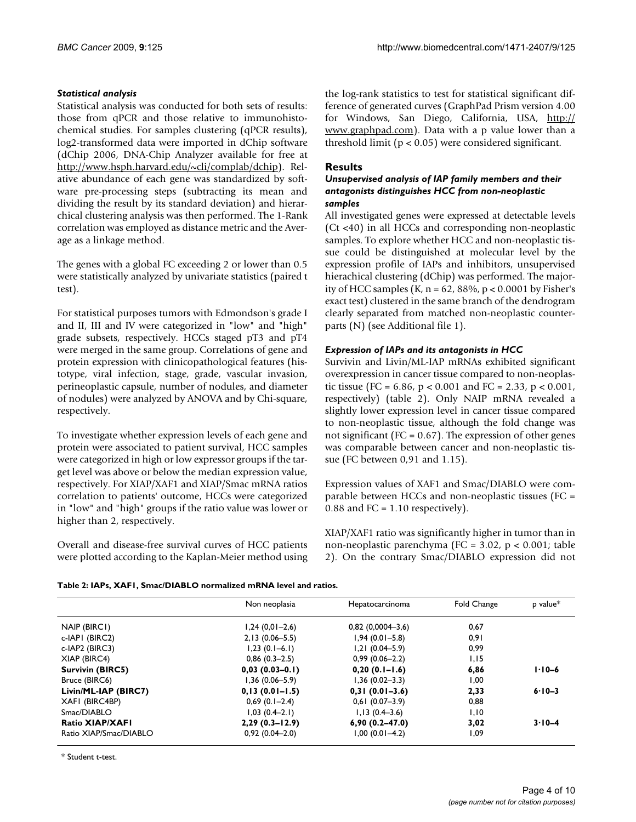# *Statistical analysis*

Statistical analysis was conducted for both sets of results: those from qPCR and those relative to immunohistochemical studies. For samples clustering (qPCR results), log2-transformed data were imported in dChip software (dChip 2006, DNA-Chip Analyzer available for free at [http://www.hsph.harvard.edu/~cli/complab/dchip\)](http://www.hsph.harvard.edu/~cli/complab/dchip). Relative abundance of each gene was standardized by software pre-processing steps (subtracting its mean and dividing the result by its standard deviation) and hierarchical clustering analysis was then performed. The 1-Rank correlation was employed as distance metric and the Average as a linkage method.

The genes with a global FC exceeding 2 or lower than 0.5 were statistically analyzed by univariate statistics (paired t test).

For statistical purposes tumors with Edmondson's grade I and II, III and IV were categorized in "low" and "high" grade subsets, respectively. HCCs staged pT3 and pT4 were merged in the same group. Correlations of gene and protein expression with clinicopathological features (histotype, viral infection, stage, grade, vascular invasion, perineoplastic capsule, number of nodules, and diameter of nodules) were analyzed by ANOVA and by Chi-square, respectively.

To investigate whether expression levels of each gene and protein were associated to patient survival, HCC samples were categorized in high or low expressor groups if the target level was above or below the median expression value, respectively. For XIAP/XAF1 and XIAP/Smac mRNA ratios correlation to patients' outcome, HCCs were categorized in "low" and "high" groups if the ratio value was lower or higher than 2, respectively.

Overall and disease-free survival curves of HCC patients were plotted according to the Kaplan-Meier method using the log-rank statistics to test for statistical significant difference of generated curves (GraphPad Prism version 4.00 for Windows, San Diego, California, USA, [http://](http://www.graphpad.com) [www.graphpad.com](http://www.graphpad.com)). Data with a p value lower than a threshold limit (p < 0.05) were considered significant.

# **Results**

#### *Unsupervised analysis of IAP family members and their antagonists distinguishes HCC from non-neoplastic samples*

All investigated genes were expressed at detectable levels (Ct <40) in all HCCs and corresponding non-neoplastic samples. To explore whether HCC and non-neoplastic tissue could be distinguished at molecular level by the expression profile of IAPs and inhibitors, unsupervised hierachical clustering (dChip) was performed. The majority of HCC samples  $(K, n = 62, 88\%, p < 0.0001$  by Fisher's exact test) clustered in the same branch of the dendrogram clearly separated from matched non-neoplastic counterparts (N) (see Additional file 1).

# *Expression of IAPs and its antagonists in HCC*

Survivin and Livin/ML-IAP mRNAs exhibited significant overexpression in cancer tissue compared to non-neoplastic tissue (FC = 6.86, p < 0.001 and FC = 2.33, p < 0.001, respectively) (table 2). Only NAIP mRNA revealed a slightly lower expression level in cancer tissue compared to non-neoplastic tissue, although the fold change was not significant ( $FC = 0.67$ ). The expression of other genes was comparable between cancer and non-neoplastic tissue (FC between 0,91 and 1.15).

Expression values of XAF1 and Smac/DIABLO were comparable between HCCs and non-neoplastic tissues (FC = 0.88 and FC =  $1.10$  respectively).

XIAP/XAF1 ratio was significantly higher in tumor than in non-neoplastic parenchyma (FC = 3.02, p < 0.001; table 2). On the contrary Smac/DIABLO expression did not

|  | Table 2: IAPs, XAFI, Smac/DIABLO normalized mRNA level and ratios. |  |  |
|--|--------------------------------------------------------------------|--|--|

|                         | Non neoplasia      | Hepatocarcinoma     | Fold Change | $p$ value* |
|-------------------------|--------------------|---------------------|-------------|------------|
| NAIP (BIRCI)            | $1,24(0,01-2,6)$   | $0,82$ (0,0004-3,6) | 0.67        |            |
| c-IAPI (BIRC2)          | $2,13(0.06 - 5.5)$ | $1,94(0.01 - 5.8)$  | 0.91        |            |
| c-IAP2 (BIRC3)          | $1,23(0.1-6.1)$    | $1,21(0.04 - 5.9)$  | 0,99        |            |
| XIAP (BIRC4)            | $0,86(0.3-2.5)$    | $0,99(0.06 - 2.2)$  | 1,15        |            |
| <b>Survivin (BIRC5)</b> | $0,03(0.03-0.1)$   | $0,20(0.1 - 1.6)$   | 6,86        | $1.10 - 6$ |
| Bruce (BIRC6)           | $1,36(0.06 - 5.9)$ | $1,36(0.02 - 3.3)$  | 1,00        |            |
| Livin/ML-IAP (BIRC7)    | $0,13(0.01-1.5)$   | $0,31(0.01-3.6)$    | 2,33        | $6.10 - 3$ |
| XAFI (BIRC4BP)          | $0,69$ (0.1-2.4)   | $0,61(0.07-3.9)$    | 0,88        |            |
| Smac/DIABLO             | $1,03(0.4-2.1)$    | $1,13(0.4-3.6)$     | 1,10        |            |
| <b>Ratio XIAP/XAFI</b>  | $2,29(0.3 - 12.9)$ | $6,90(0.2 - 47.0)$  | 3,02        | $3.10 - 4$ |
| Ratio XIAP/Smac/DIABLO  | $0,92(0.04 - 2.0)$ | $1,00(0.01-4.2)$    | 1,09        |            |

\* Student t-test.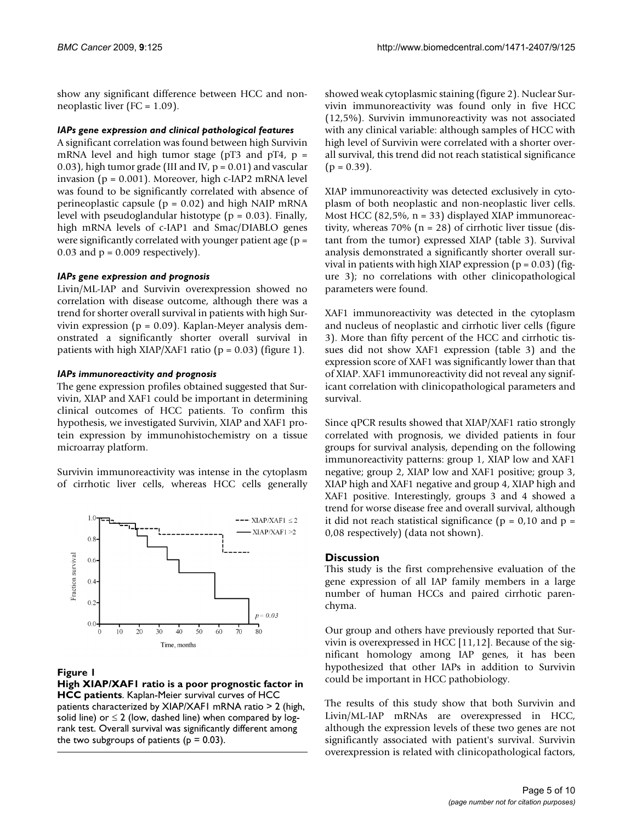show any significant difference between HCC and nonneoplastic liver (FC = 1.09).

#### *IAPs gene expression and clinical pathological features*

A significant correlation was found between high Survivin mRNA level and high tumor stage ( $pT3$  and  $pT4$ ,  $p =$ 0.03), high tumor grade (III and IV,  $p = 0.01$ ) and vascular invasion (p = 0.001). Moreover, high c-IAP2 mRNA level was found to be significantly correlated with absence of perineoplastic capsule ( $p = 0.02$ ) and high NAIP mRNA level with pseudoglandular histotype ( $p = 0.03$ ). Finally, high mRNA levels of c-IAP1 and Smac/DIABLO genes were significantly correlated with younger patient age  $(p =$ 0.03 and  $p = 0.009$  respectively).

#### *IAPs gene expression and prognosis*

Livin/ML-IAP and Survivin overexpression showed no correlation with disease outcome, although there was a trend for shorter overall survival in patients with high Survivin expression ( $p = 0.09$ ). Kaplan-Meyer analysis demonstrated a significantly shorter overall survival in patients with high XIAP/XAF1 ratio ( $p = 0.03$ ) (figure 1).

#### *IAPs immunoreactivity and prognosis*

The gene expression profiles obtained suggested that Survivin, XIAP and XAF1 could be important in determining clinical outcomes of HCC patients. To confirm this hypothesis, we investigated Survivin, XIAP and XAF1 protein expression by immunohistochemistry on a tissue microarray platform.

Survivin immunoreactivity was intense in the cytoplasm of cirrhotic liver cells, whereas HCC cells generally



#### **Figure 1**

**High XIAP/XAF1 ratio is a poor prognostic factor in HCC patients**. Kaplan-Meier survival curves of HCC patients characterized by XIAP/XAF1 mRNA ratio > 2 (high, solid line) or  $\leq 2$  (low, dashed line) when compared by logrank test. Overall survival was significantly different among the two subgroups of patients ( $p = 0.03$ ).

showed weak cytoplasmic staining (figure 2). Nuclear Survivin immunoreactivity was found only in five HCC (12,5%). Survivin immunoreactivity was not associated with any clinical variable: although samples of HCC with high level of Survivin were correlated with a shorter overall survival, this trend did not reach statistical significance  $(p = 0.39)$ .

XIAP immunoreactivity was detected exclusively in cytoplasm of both neoplastic and non-neoplastic liver cells. Most HCC (82,5%, n = 33) displayed XIAP immunoreactivity, whereas  $70\%$  (n = 28) of cirrhotic liver tissue (distant from the tumor) expressed XIAP (table 3). Survival analysis demonstrated a significantly shorter overall survival in patients with high XIAP expression ( $p = 0.03$ ) (figure 3); no correlations with other clinicopathological parameters were found.

XAF1 immunoreactivity was detected in the cytoplasm and nucleus of neoplastic and cirrhotic liver cells (figure 3). More than fifty percent of the HCC and cirrhotic tissues did not show XAF1 expression (table 3) and the expression score of XAF1 was significantly lower than that of XIAP. XAF1 immunoreactivity did not reveal any significant correlation with clinicopathological parameters and survival.

Since qPCR results showed that XIAP/XAF1 ratio strongly correlated with prognosis, we divided patients in four groups for survival analysis, depending on the following immunoreactivity patterns: group 1, XIAP low and XAF1 negative; group 2, XIAP low and XAF1 positive; group 3, XIAP high and XAF1 negative and group 4, XIAP high and XAF1 positive. Interestingly, groups 3 and 4 showed a trend for worse disease free and overall survival, although it did not reach statistical significance ( $p = 0.10$  and  $p =$ 0,08 respectively) (data not shown).

#### **Discussion**

This study is the first comprehensive evaluation of the gene expression of all IAP family members in a large number of human HCCs and paired cirrhotic parenchyma.

Our group and others have previously reported that Survivin is overexpressed in HCC [11,12]. Because of the significant homology among IAP genes, it has been hypothesized that other IAPs in addition to Survivin could be important in HCC pathobiology.

The results of this study show that both Survivin and Livin/ML-IAP mRNAs are overexpressed in HCC, although the expression levels of these two genes are not significantly associated with patient's survival. Survivin overexpression is related with clinicopathological factors,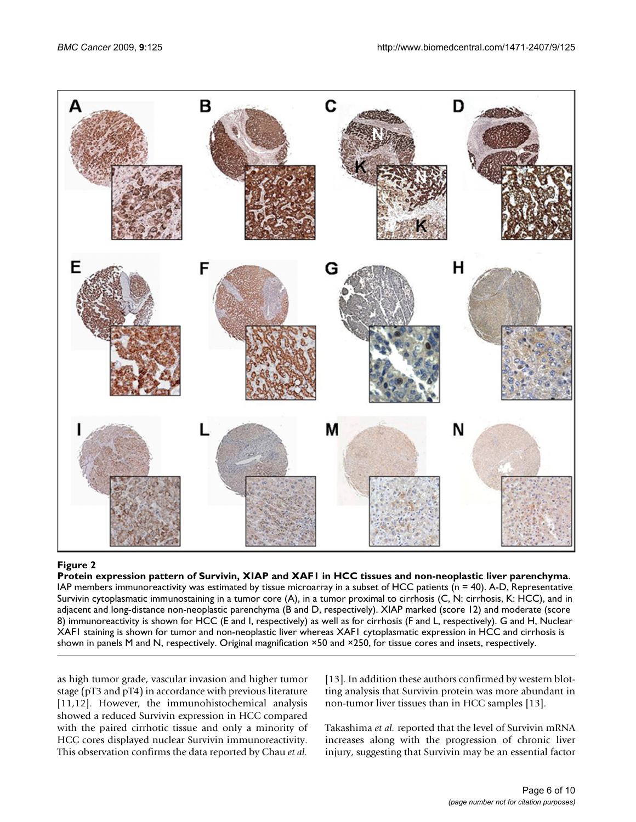

# Protein expression pattern of Survivin, XIAP and XAF1 **Figure 2** in HCC tissues and non-neoplastic liver parenchyma

**Protein expression pattern of Survivin, XIAP and XAF1 in HCC tissues and non-neoplastic liver parenchyma**. IAP members immunoreactivity was estimated by tissue microarray in a subset of HCC patients ( $n = 40$ ). A-D, Representative Survivin cytoplasmatic immunostaining in a tumor core (A), in a tumor proximal to cirrhosis (C, N: cirrhosis, K: HCC), and in adjacent and long-distance non-neoplastic parenchyma (B and D, respectively). XIAP marked (score 12) and moderate (score 8) immunoreactivity is shown for HCC (E and I, respectively) as well as for cirrhosis (F and L, respectively). G and H, Nuclear XAF1 staining is shown for tumor and non-neoplastic liver whereas XAF1 cytoplasmatic expression in HCC and cirrhosis is shown in panels M and N, respectively. Original magnification ×50 and ×250, for tissue cores and insets, respectively.

as high tumor grade, vascular invasion and higher tumor stage (pT3 and pT4) in accordance with previous literature [11,12]. However, the immunohistochemical analysis showed a reduced Survivin expression in HCC compared with the paired cirrhotic tissue and only a minority of HCC cores displayed nuclear Survivin immunoreactivity. This observation confirms the data reported by Chau *et al.*

[13]. In addition these authors confirmed by western blotting analysis that Survivin protein was more abundant in non-tumor liver tissues than in HCC samples [13].

Takashima *et al.* reported that the level of Survivin mRNA increases along with the progression of chronic liver injury, suggesting that Survivin may be an essential factor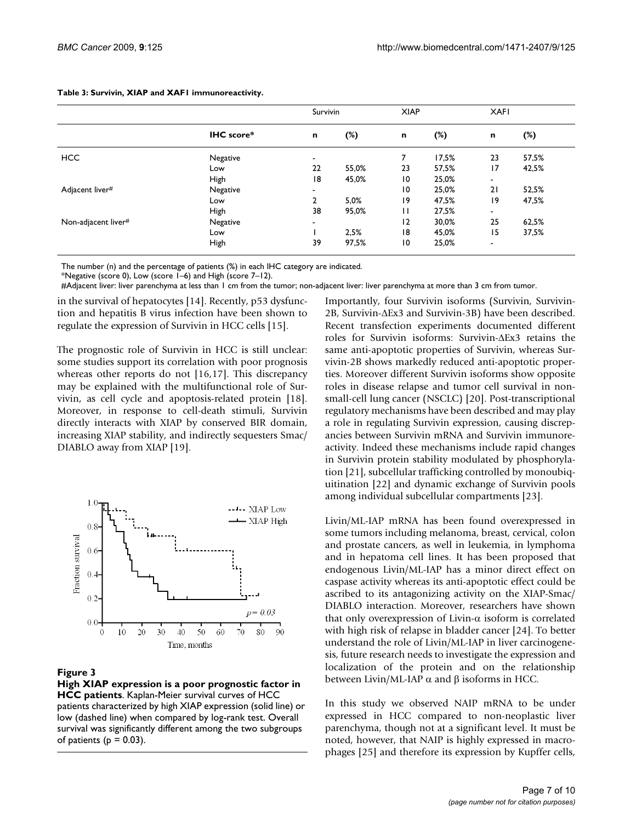|                     |            | Survivin                 |       | <b>XIAP</b>     |        | <b>XAFI</b>              |        |
|---------------------|------------|--------------------------|-------|-----------------|--------|--------------------------|--------|
|                     | IHC score* | $\mathbf n$              | (%)   | n               | $(\%)$ | n                        | $(\%)$ |
| <b>HCC</b>          | Negative   | $\overline{\phantom{a}}$ |       |                 | 17.5%  | 23                       | 57,5%  |
|                     | Low        | 22                       | 55,0% | 23              | 57,5%  | $\overline{17}$          | 42,5%  |
|                     | High       | 18                       | 45,0% | 10              | 25,0%  | $\overline{\phantom{a}}$ |        |
| Adjacent liver#     | Negative   | $\overline{\phantom{a}}$ |       | 10              | 25,0%  | 21                       | 52,5%  |
|                     | Low        | $\mathbf{2}$             | 5,0%  | 19              | 47,5%  | 19                       | 47,5%  |
|                     | High       | 38                       | 95,0% | П               | 27,5%  | $\overline{\phantom{a}}$ |        |
| Non-adjacent liver# | Negative   | $\overline{\phantom{0}}$ |       | 12              | 30,0%  | 25                       | 62,5%  |
|                     | Low        |                          | 2,5%  | 18              | 45,0%  | 15                       | 37,5%  |
|                     | High       | 39                       | 97,5% | $\overline{10}$ | 25,0%  | $\overline{\phantom{a}}$ |        |

**Table 3: Survivin, XIAP and XAF1 immunoreactivity.**

The number (n) and the percentage of patients (%) in each IHC category are indicated.

\*Negative (score 0), Low (score 1–6) and High (score 7–12).

#Adjacent liver: liver parenchyma at less than 1 cm from the tumor; non-adjacent liver: liver parenchyma at more than 3 cm from tumor.

in the survival of hepatocytes [14]. Recently, p53 dysfunction and hepatitis B virus infection have been shown to regulate the expression of Survivin in HCC cells [15].

The prognostic role of Survivin in HCC is still unclear: some studies support its correlation with poor prognosis whereas other reports do not [16,17]. This discrepancy may be explained with the multifunctional role of Survivin, as cell cycle and apoptosis-related protein [18]. Moreover, in response to cell-death stimuli, Survivin directly interacts with XIAP by conserved BIR domain, increasing XIAP stability, and indirectly sequesters Smac/ DIABLO away from XIAP [19].



#### **Figure 3**

**High XIAP expression is a poor prognostic factor in HCC patients**. Kaplan-Meier survival curves of HCC patients characterized by high XIAP expression (solid line) or low (dashed line) when compared by log-rank test. Overall survival was significantly different among the two subgroups of patients ( $p = 0.03$ ).

Importantly, four Survivin isoforms (Survivin, Survivin-2B, Survivin-ΔEx3 and Survivin-3B) have been described. Recent transfection experiments documented different roles for Survivin isoforms: Survivin-ΔEx3 retains the same anti-apoptotic properties of Survivin, whereas Survivin-2B shows markedly reduced anti-apoptotic properties. Moreover different Survivin isoforms show opposite roles in disease relapse and tumor cell survival in nonsmall-cell lung cancer (NSCLC) [20]. Post-transcriptional regulatory mechanisms have been described and may play a role in regulating Survivin expression, causing discrepancies between Survivin mRNA and Survivin immunoreactivity. Indeed these mechanisms include rapid changes in Survivin protein stability modulated by phosphorylation [21], subcellular trafficking controlled by monoubiquitination [22] and dynamic exchange of Survivin pools among individual subcellular compartments [23].

Livin/ML-IAP mRNA has been found overexpressed in some tumors including melanoma, breast, cervical, colon and prostate cancers, as well in leukemia, in lymphoma and in hepatoma cell lines. It has been proposed that endogenous Livin/ML-IAP has a minor direct effect on caspase activity whereas its anti-apoptotic effect could be ascribed to its antagonizing activity on the XIAP-Smac/ DIABLO interaction. Moreover, researchers have shown that only overexpression of Livin-α isoform is correlated with high risk of relapse in bladder cancer [24]. To better understand the role of Livin/ML-IAP in liver carcinogenesis, future research needs to investigate the expression and localization of the protein and on the relationship between Livin/ML-IAP  $\alpha$  and β isoforms in HCC.

In this study we observed NAIP mRNA to be under expressed in HCC compared to non-neoplastic liver parenchyma, though not at a significant level. It must be noted, however, that NAIP is highly expressed in macrophages [25] and therefore its expression by Kupffer cells,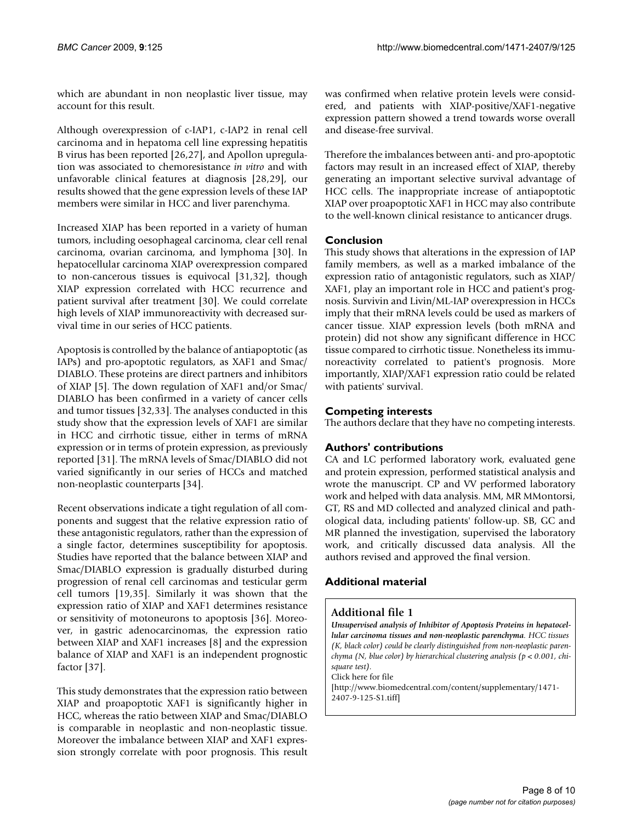which are abundant in non neoplastic liver tissue, may account for this result.

Although overexpression of c-IAP1, c-IAP2 in renal cell carcinoma and in hepatoma cell line expressing hepatitis B virus has been reported [26,27], and Apollon upregulation was associated to chemoresistance *in vitro* and with unfavorable clinical features at diagnosis [28,29], our results showed that the gene expression levels of these IAP members were similar in HCC and liver parenchyma.

Increased XIAP has been reported in a variety of human tumors, including oesophageal carcinoma, clear cell renal carcinoma, ovarian carcinoma, and lymphoma [30]. In hepatocellular carcinoma XIAP overexpression compared to non-cancerous tissues is equivocal [31,32], though XIAP expression correlated with HCC recurrence and patient survival after treatment [30]. We could correlate high levels of XIAP immunoreactivity with decreased survival time in our series of HCC patients.

Apoptosis is controlled by the balance of antiapoptotic (as IAPs) and pro-apoptotic regulators, as XAF1 and Smac/ DIABLO. These proteins are direct partners and inhibitors of XIAP [5]. The down regulation of XAF1 and/or Smac/ DIABLO has been confirmed in a variety of cancer cells and tumor tissues [32,33]. The analyses conducted in this study show that the expression levels of XAF1 are similar in HCC and cirrhotic tissue, either in terms of mRNA expression or in terms of protein expression, as previously reported [31]. The mRNA levels of Smac/DIABLO did not varied significantly in our series of HCCs and matched non-neoplastic counterparts [34].

Recent observations indicate a tight regulation of all components and suggest that the relative expression ratio of these antagonistic regulators, rather than the expression of a single factor, determines susceptibility for apoptosis. Studies have reported that the balance between XIAP and Smac/DIABLO expression is gradually disturbed during progression of renal cell carcinomas and testicular germ cell tumors [19,35]. Similarly it was shown that the expression ratio of XIAP and XAF1 determines resistance or sensitivity of motoneurons to apoptosis [36]. Moreover, in gastric adenocarcinomas, the expression ratio between XIAP and XAF1 increases [8] and the expression balance of XIAP and XAF1 is an independent prognostic factor [37].

This study demonstrates that the expression ratio between XIAP and proapoptotic XAF1 is significantly higher in HCC, whereas the ratio between XIAP and Smac/DIABLO is comparable in neoplastic and non-neoplastic tissue. Moreover the imbalance between XIAP and XAF1 expression strongly correlate with poor prognosis. This result was confirmed when relative protein levels were considered, and patients with XIAP-positive/XAF1-negative expression pattern showed a trend towards worse overall and disease-free survival.

Therefore the imbalances between anti- and pro-apoptotic factors may result in an increased effect of XIAP, thereby generating an important selective survival advantage of HCC cells. The inappropriate increase of antiapoptotic XIAP over proapoptotic XAF1 in HCC may also contribute to the well-known clinical resistance to anticancer drugs.

# **Conclusion**

This study shows that alterations in the expression of IAP family members, as well as a marked imbalance of the expression ratio of antagonistic regulators, such as XIAP/ XAF1, play an important role in HCC and patient's prognosis. Survivin and Livin/ML-IAP overexpression in HCCs imply that their mRNA levels could be used as markers of cancer tissue. XIAP expression levels (both mRNA and protein) did not show any significant difference in HCC tissue compared to cirrhotic tissue. Nonetheless its immunoreactivity correlated to patient's prognosis. More importantly, XIAP/XAF1 expression ratio could be related with patients' survival.

# **Competing interests**

The authors declare that they have no competing interests.

# **Authors' contributions**

CA and LC performed laboratory work, evaluated gene and protein expression, performed statistical analysis and wrote the manuscript. CP and VV performed laboratory work and helped with data analysis. MM, MR MMontorsi, GT, RS and MD collected and analyzed clinical and pathological data, including patients' follow-up. SB, GC and MR planned the investigation, supervised the laboratory work, and critically discussed data analysis. All the authors revised and approved the final version.

# **Additional material**

#### **Additional file 1**

*Unsupervised analysis of Inhibitor of Apoptosis Proteins in hepatocellular carcinoma tissues and non-neoplastic parenchyma. HCC tissues (K, black color) could be clearly distinguished from non-neoplastic parenchyma (N, blue color) by hierarchical clustering analysis (p < 0.001, chisquare test).*

Click here for file

[\[http://www.biomedcentral.com/content/supplementary/1471-](http://www.biomedcentral.com/content/supplementary/1471-2407-9-125-S1.tiff) 2407-9-125-S1.tiff]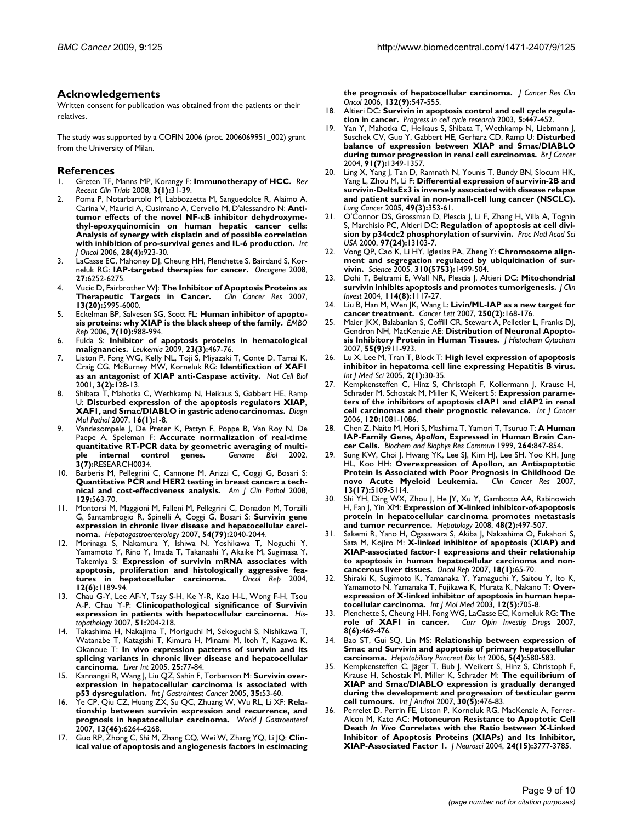#### **Acknowledgements**

Written consent for publication was obtained from the patients or their relatives.

The study was supported by a COFIN 2006 (prot. 2006069951\_002) grant from the University of Milan.

#### **References**

- 1. Greten TF, Manns MP, Korangy F: **[Immunotherapy of HCC.](http://www.ncbi.nlm.nih.gov/entrez/query.fcgi?cmd=Retrieve&db=PubMed&dopt=Abstract&list_uids=18474013)** *Rev Recent Clin Trials* 2008, **3(1):**31-39.
- 2. Poma P, Notarbartolo M, Labbozzetta M, Sanguedolce R, Alaimo A, Carina V, Maurici A, Cusimano A, Cervello M, D'alessandro N: **Antitumor effects of the novel NF-**κ**[B inhibitor dehydroxyme](http://www.ncbi.nlm.nih.gov/entrez/query.fcgi?cmd=Retrieve&db=PubMed&dopt=Abstract&list_uids=16525642)[thyl-epoxyquinomicin on human hepatic cancer cells:](http://www.ncbi.nlm.nih.gov/entrez/query.fcgi?cmd=Retrieve&db=PubMed&dopt=Abstract&list_uids=16525642) Analysis of synergy with cisplatin and of possible correlation [with inhibition of pro-survival genes and IL-6 production.](http://www.ncbi.nlm.nih.gov/entrez/query.fcgi?cmd=Retrieve&db=PubMed&dopt=Abstract&list_uids=16525642)** *Int J Oncol* 2006, **28(4):**923-30.
- 3. LaCasse EC, Mahoney DJ, Cheung HH, Plenchette S, Bairdand S, Korneluk RG: **[IAP-targeted therapies for cancer.](http://www.ncbi.nlm.nih.gov/entrez/query.fcgi?cmd=Retrieve&db=PubMed&dopt=Abstract&list_uids=18931692)** *Oncogene* 2008, **27:**6252-6275.
- 4. Vucic D, Fairbrother WJ: **[The Inhibitor of Apoptosis Proteins as](http://www.ncbi.nlm.nih.gov/entrez/query.fcgi?cmd=Retrieve&db=PubMed&dopt=Abstract&list_uids=17947460) [Therapeutic Targets in Cancer.](http://www.ncbi.nlm.nih.gov/entrez/query.fcgi?cmd=Retrieve&db=PubMed&dopt=Abstract&list_uids=17947460)** *Clin Cancer Res* 2007, **13(20):**5995-6000.
- 5. Eckelman BP, Salvesen SG, Scott FL: **[Human inhibitor of apopto](http://www.ncbi.nlm.nih.gov/entrez/query.fcgi?cmd=Retrieve&db=PubMed&dopt=Abstract&list_uids=17016456)[sis proteins: why XIAP is the black sheep of the family.](http://www.ncbi.nlm.nih.gov/entrez/query.fcgi?cmd=Retrieve&db=PubMed&dopt=Abstract&list_uids=17016456)** *EMBO Rep* 2006, **7(10):**988-994.
- 6. Fulda S: **[Inhibitor of apoptosis proteins in hematological](http://www.ncbi.nlm.nih.gov/entrez/query.fcgi?cmd=Retrieve&db=PubMed&dopt=Abstract&list_uids=19039324) [malignancies.](http://www.ncbi.nlm.nih.gov/entrez/query.fcgi?cmd=Retrieve&db=PubMed&dopt=Abstract&list_uids=19039324)** *Leukemia* 2009, **23(3):**467-76.
- 7. Liston P, Fong WG, Kelly NL, Toji S, Miyazaki T, Conte D, Tamai K, Craig CG, McBurney MW, Korneluk RG: **[Identification of XAF1](http://www.ncbi.nlm.nih.gov/entrez/query.fcgi?cmd=Retrieve&db=PubMed&dopt=Abstract&list_uids=11175744) [as an antagonist of XIAP anti-Caspase activity.](http://www.ncbi.nlm.nih.gov/entrez/query.fcgi?cmd=Retrieve&db=PubMed&dopt=Abstract&list_uids=11175744)** *Nat Cell Biol* 2001, **3(2):**128-13.
- 8. Shibata T, Mahotka C, Wethkamp N, Heikaus S, Gabbert HE, Ramp U: **[Disturbed expression of the apoptosis regulators XIAP,](http://www.ncbi.nlm.nih.gov/entrez/query.fcgi?cmd=Retrieve&db=PubMed&dopt=Abstract&list_uids=17471152) [XAF1, and Smac/DIABLO in gastric adenocarcinomas.](http://www.ncbi.nlm.nih.gov/entrez/query.fcgi?cmd=Retrieve&db=PubMed&dopt=Abstract&list_uids=17471152)** *Diagn Mol Pathol* 2007, **16(1):**1-8.
- 9. Vandesompele J, De Preter K, Pattyn F, Poppe B, Van Roy N, De Paepe A, Speleman F: **[Accurate normalization of real-time](http://www.ncbi.nlm.nih.gov/entrez/query.fcgi?cmd=Retrieve&db=PubMed&dopt=Abstract&list_uids=12184808)** quantitative RT-PCR data by geometric averaging of multi-<br>ple internal control genes. Genome Biol 2002 **[ple internal control genes.](http://www.ncbi.nlm.nih.gov/entrez/query.fcgi?cmd=Retrieve&db=PubMed&dopt=Abstract&list_uids=12184808)** *Genome Biol* 2002, **3(7):**RESEARCH0034.
- 10. Barberis M, Pellegrini C, Cannone M, Arizzi C, Coggi G, Bosari S: **[Quantitative PCR and HER2 testing in breast cancer: a tech](http://www.ncbi.nlm.nih.gov/entrez/query.fcgi?cmd=Retrieve&db=PubMed&dopt=Abstract&list_uids=18343783)[nical and cost-effectiveness analysis.](http://www.ncbi.nlm.nih.gov/entrez/query.fcgi?cmd=Retrieve&db=PubMed&dopt=Abstract&list_uids=18343783)** *Am J Clin Pathol* 2008, **129:**563-70.
- 11. Montorsi M, Maggioni M, Falleni M, Pellegrini C, Donadon M, Torzilli G, Santambrogio R, Spinelli A, Coggi G, Bosari S: **[Survivin gene](http://www.ncbi.nlm.nih.gov/entrez/query.fcgi?cmd=Retrieve&db=PubMed&dopt=Abstract&list_uids=18251156) [expression in chronic liver disease and hepatocellular carci](http://www.ncbi.nlm.nih.gov/entrez/query.fcgi?cmd=Retrieve&db=PubMed&dopt=Abstract&list_uids=18251156)[noma.](http://www.ncbi.nlm.nih.gov/entrez/query.fcgi?cmd=Retrieve&db=PubMed&dopt=Abstract&list_uids=18251156)** *Hepatogastroenterology* 2007, **54(79):**2040-2044.
- 12. Morinaga S, Nakamura Y, Ishiwa N, Yoshikawa T, Noguchi Y, Yamamoto Y, Rino Y, Imada T, Takanashi Y, Akaike M, Sugimasa Y, Takemiya S: **[Expression of survivin mRNA associates with](http://www.ncbi.nlm.nih.gov/entrez/query.fcgi?cmd=Retrieve&db=PubMed&dopt=Abstract&list_uids=15547736) [apoptosis, proliferation and histologically aggressive fea](http://www.ncbi.nlm.nih.gov/entrez/query.fcgi?cmd=Retrieve&db=PubMed&dopt=Abstract&list_uids=15547736)[tures in hepatocellular carcinoma.](http://www.ncbi.nlm.nih.gov/entrez/query.fcgi?cmd=Retrieve&db=PubMed&dopt=Abstract&list_uids=15547736)** *Oncol Rep* 2004, **12(6):**1189-94.
- 13. Chau G-Y, Lee AF-Y, Tsay S-H, Ke Y-R, Kao H-L, Wong F-H, Tsou A-P, Chau Y-P: **[Clinicopathological significance of Survivin](http://www.ncbi.nlm.nih.gov/entrez/query.fcgi?cmd=Retrieve&db=PubMed&dopt=Abstract&list_uids=17559540) [expression in patients with hepatocellular carcinoma.](http://www.ncbi.nlm.nih.gov/entrez/query.fcgi?cmd=Retrieve&db=PubMed&dopt=Abstract&list_uids=17559540)** *Histopathology* 2007, **51:**204-218.
- 14. Takashima H, Nakajima T, Moriguchi M, Sekoguchi S, Nishikawa T, Watanabe T, Katagishi T, Kimura H, Minami M, Itoh Y, Kagawa K, Okanoue T: **[In vivo expression patterns of survivin and its](http://www.ncbi.nlm.nih.gov/entrez/query.fcgi?cmd=Retrieve&db=PubMed&dopt=Abstract&list_uids=15698402) [splicing variants in chronic liver disease and hepatocellular](http://www.ncbi.nlm.nih.gov/entrez/query.fcgi?cmd=Retrieve&db=PubMed&dopt=Abstract&list_uids=15698402) [carcinoma.](http://www.ncbi.nlm.nih.gov/entrez/query.fcgi?cmd=Retrieve&db=PubMed&dopt=Abstract&list_uids=15698402)** *Liver Int* 2005, **25:**77-84.
- 15. Kannangai R, Wang J, Liu QZ, Sahin F, Torbenson M: **[Survivin over](http://www.ncbi.nlm.nih.gov/entrez/query.fcgi?cmd=Retrieve&db=PubMed&dopt=Abstract&list_uids=15722574)[expression in hepatocellular carcinoma is associated with](http://www.ncbi.nlm.nih.gov/entrez/query.fcgi?cmd=Retrieve&db=PubMed&dopt=Abstract&list_uids=15722574) [p53 dysregulation.](http://www.ncbi.nlm.nih.gov/entrez/query.fcgi?cmd=Retrieve&db=PubMed&dopt=Abstract&list_uids=15722574)** *Int J Gastrointest Cancer* 2005, **35:**53-60.
- 16. Ye CP, Qiu CZ, Huang ZX, Su QC, Zhuang W, Wu RL, Li XF: **[Rela](http://www.ncbi.nlm.nih.gov/entrez/query.fcgi?cmd=Retrieve&db=PubMed&dopt=Abstract&list_uids=18069771)[tionship between survivin expression and recurrence, and](http://www.ncbi.nlm.nih.gov/entrez/query.fcgi?cmd=Retrieve&db=PubMed&dopt=Abstract&list_uids=18069771) [prognosis in hepatocellular carcinoma.](http://www.ncbi.nlm.nih.gov/entrez/query.fcgi?cmd=Retrieve&db=PubMed&dopt=Abstract&list_uids=18069771)** *World J Gastroenterol* 2007, **13(46):**6264-6268.
- 17. Guo RP, Zhong C, Shi M, Zhang CQ, Wei W, Zhang YQ, Li JQ: **[Clin](http://www.ncbi.nlm.nih.gov/entrez/query.fcgi?cmd=Retrieve&db=PubMed&dopt=Abstract&list_uids=16763805)[ical value of apoptosis and angiogenesis factors in estimating](http://www.ncbi.nlm.nih.gov/entrez/query.fcgi?cmd=Retrieve&db=PubMed&dopt=Abstract&list_uids=16763805)**

**[the prognosis of hepatocellular carcinoma.](http://www.ncbi.nlm.nih.gov/entrez/query.fcgi?cmd=Retrieve&db=PubMed&dopt=Abstract&list_uids=16763805)** *J Cancer Res Clin Oncol* 2006, **132(9):**547-555.

- 18. Altieri DC: **[Survivin in apoptosis control and cell cycle regula](http://www.ncbi.nlm.nih.gov/entrez/query.fcgi?cmd=Retrieve&db=PubMed&dopt=Abstract&list_uids=14593739)[tion in cancer.](http://www.ncbi.nlm.nih.gov/entrez/query.fcgi?cmd=Retrieve&db=PubMed&dopt=Abstract&list_uids=14593739)** *Progress in cell cycle research* 2003, **5:**447-452.
- 19. Yan Y, Mahotka C, Heikaus S, Shibata T, Wethkamp N, Liebmann J, Suschek CV, Guo Y, Gabbert HE, Gerharz CD, Ramp U: **[Disturbed](http://www.ncbi.nlm.nih.gov/entrez/query.fcgi?cmd=Retrieve&db=PubMed&dopt=Abstract&list_uids=15328523) [balance of expression between XIAP and Smac/DIABLO](http://www.ncbi.nlm.nih.gov/entrez/query.fcgi?cmd=Retrieve&db=PubMed&dopt=Abstract&list_uids=15328523) [during tumor progression in renal cell carcinomas.](http://www.ncbi.nlm.nih.gov/entrez/query.fcgi?cmd=Retrieve&db=PubMed&dopt=Abstract&list_uids=15328523)** *Br J Cancer* 2004, **91(7):**1349-1357.
- 20. Ling X, Yang J, Tan D, Ramnath N, Younis T, Bundy BN, Slocum HK, Yang L, Zhou M, Li F: **[Differential expression of survivin-2B and](http://www.ncbi.nlm.nih.gov/entrez/query.fcgi?cmd=Retrieve&db=PubMed&dopt=Abstract&list_uids=15936846) [survivin-DeltaEx3 is inversely associated with disease relapse](http://www.ncbi.nlm.nih.gov/entrez/query.fcgi?cmd=Retrieve&db=PubMed&dopt=Abstract&list_uids=15936846) and patient survival in non-small-cell lung cancer (NSCLC).** *Lung Cancer* 2005, **49(3):**353-61.
- 21. O'Connor DS, Grossman D, Plescia J, Li F, Zhang H, Villa A, Tognin S, Marchisio PC, Altieri DC: **[Regulation of apoptosis at cell divi](http://www.ncbi.nlm.nih.gov/entrez/query.fcgi?cmd=Retrieve&db=PubMed&dopt=Abstract&list_uids=11069302)[sion by p34cdc2 phosphorylation of survivin.](http://www.ncbi.nlm.nih.gov/entrez/query.fcgi?cmd=Retrieve&db=PubMed&dopt=Abstract&list_uids=11069302)** *Proc Natl Acad Sci USA* 2000, **97(24):**13103-7.
- 22. Vong QP, Cao K, Li HY, Iglesias PA, Zheng Y: **[Chromosome align](http://www.ncbi.nlm.nih.gov/entrez/query.fcgi?cmd=Retrieve&db=PubMed&dopt=Abstract&list_uids=16322459)[ment and segregation regulated by ubiquitination of sur](http://www.ncbi.nlm.nih.gov/entrez/query.fcgi?cmd=Retrieve&db=PubMed&dopt=Abstract&list_uids=16322459)[vivin.](http://www.ncbi.nlm.nih.gov/entrez/query.fcgi?cmd=Retrieve&db=PubMed&dopt=Abstract&list_uids=16322459)** *Science* 2005, **310(5753):**1499-504.
- 23. Dohi T, Beltrami E, Wall NR, Plescia J, Altieri DC: **[Mitochondrial](http://www.ncbi.nlm.nih.gov/entrez/query.fcgi?cmd=Retrieve&db=PubMed&dopt=Abstract&list_uids=15489959) [survivin inhibits apoptosis and promotes tumorigenesis.](http://www.ncbi.nlm.nih.gov/entrez/query.fcgi?cmd=Retrieve&db=PubMed&dopt=Abstract&list_uids=15489959)** *J Clin Invest* 2004, **114(8):**1117-27.
- 24. Liu B, Han M, Wen JK, Wang L: **[Livin/ML-IAP as a new target for](http://www.ncbi.nlm.nih.gov/entrez/query.fcgi?cmd=Retrieve&db=PubMed&dopt=Abstract&list_uids=17218055) [cancer treatment.](http://www.ncbi.nlm.nih.gov/entrez/query.fcgi?cmd=Retrieve&db=PubMed&dopt=Abstract&list_uids=17218055)** *Cancer Lett* 2007, **250(2):**168-176.
- 25. Maier JKX, Balabanian S, Coffill CR, Stewart A, Pelletier L, Franks DJ, Gendron NH, MacKenzie AE: **[Distribution of Neuronal Apopto](http://www.ncbi.nlm.nih.gov/entrez/query.fcgi?cmd=Retrieve&db=PubMed&dopt=Abstract&list_uids=17510375)[sis Inhibitory Protein in Human Tissues.](http://www.ncbi.nlm.nih.gov/entrez/query.fcgi?cmd=Retrieve&db=PubMed&dopt=Abstract&list_uids=17510375)** *J Histochem Cytochem* 2007, **55(9):**911-923.
- 26. Lu X, Lee M, Tran T, Block T: **[High level expression of apoptosis](http://www.ncbi.nlm.nih.gov/entrez/query.fcgi?cmd=Retrieve&db=PubMed&dopt=Abstract&list_uids=15968337) [inhibitor in hepatoma cell line expressing Hepatitis B virus.](http://www.ncbi.nlm.nih.gov/entrez/query.fcgi?cmd=Retrieve&db=PubMed&dopt=Abstract&list_uids=15968337)** *Int J Med Sci* 2005, **2(1):**30-35.
- 27. Kempkensteffen C, Hinz S, Christoph F, Kollermann J, Krause H, Schrader M, Schostak M, Miller K, Weikert S: **Expression parameters of the inhibitors of apoptosis cIAP1 and cIAP2 in renal cell carcinomas and their prognostic relevance.** *Int J Cancer* 2006, **120:**1081-1086.
- 28. Chen Z, Naito M, Hori S, Mashima T, Yamori T, Tsuruo T: **A Human IAP-Family Gene,** *Apollon***, Expressed in Human Brain Cancer Cells.** *Biochem and Biophys Res Commun* 1999, **264:**847-854.
- 29. Sung KW, Choi J, Hwang YK, Lee SJ, Kim HJ, Lee SH, Yoo KH, Jung HL, Koo HH: **[Overexpression of Apollon, an Antiapoptotic](http://www.ncbi.nlm.nih.gov/entrez/query.fcgi?cmd=Retrieve&db=PubMed&dopt=Abstract&list_uids=17785565) [Protein Is Associated with Poor Prognosis in Childhood De](http://www.ncbi.nlm.nih.gov/entrez/query.fcgi?cmd=Retrieve&db=PubMed&dopt=Abstract&list_uids=17785565) [novo Acute Myeloid Leukemia.](http://www.ncbi.nlm.nih.gov/entrez/query.fcgi?cmd=Retrieve&db=PubMed&dopt=Abstract&list_uids=17785565)** *Clin Cancer Res* 2007, **13(17):**5109-5114.
- 30. Shi YH, Ding WX, Zhou J, He JY, Xu Y, Gambotto AA, Rabinowich H, Fan J, Yin XM: **[Expression of X-linked inhibitor-of-apoptosis](http://www.ncbi.nlm.nih.gov/entrez/query.fcgi?cmd=Retrieve&db=PubMed&dopt=Abstract&list_uids=18666224) [protein in hepatocellular carcinoma promotes metastasis](http://www.ncbi.nlm.nih.gov/entrez/query.fcgi?cmd=Retrieve&db=PubMed&dopt=Abstract&list_uids=18666224) [and tumor recurrence.](http://www.ncbi.nlm.nih.gov/entrez/query.fcgi?cmd=Retrieve&db=PubMed&dopt=Abstract&list_uids=18666224)** *Hepatology* 2008, **48(2):**497-507.
- 31. Sakemi R, Yano H, Ogasawara S, Akiba J, Nakashima O, Fukahori S, Sata M, Kojiro M: **[X-linked inhibitor of apoptosis \(XIAP\) and](http://www.ncbi.nlm.nih.gov/entrez/query.fcgi?cmd=Retrieve&db=PubMed&dopt=Abstract&list_uids=17549347) [XIAP-associated factor-1 expressions and their relationship](http://www.ncbi.nlm.nih.gov/entrez/query.fcgi?cmd=Retrieve&db=PubMed&dopt=Abstract&list_uids=17549347) to apoptosis in human hepatocellular carcinoma and non[cancerous liver tissues.](http://www.ncbi.nlm.nih.gov/entrez/query.fcgi?cmd=Retrieve&db=PubMed&dopt=Abstract&list_uids=17549347)** *Oncol Rep* 2007, **18(1):**65-70.
- 32. Shiraki K, Sugimoto K, Yamanaka Y, Yamaguchi Y, Saitou Y, Ito K, Yamamoto N, Yamanaka T, Fujikawa K, Murata K, Nakano T: **[Over](http://www.ncbi.nlm.nih.gov/entrez/query.fcgi?cmd=Retrieve&db=PubMed&dopt=Abstract&list_uids=14532997)[expression of X-linked inhibitor of apoptosis in human hepa](http://www.ncbi.nlm.nih.gov/entrez/query.fcgi?cmd=Retrieve&db=PubMed&dopt=Abstract&list_uids=14532997)[tocellular carcinoma.](http://www.ncbi.nlm.nih.gov/entrez/query.fcgi?cmd=Retrieve&db=PubMed&dopt=Abstract&list_uids=14532997)** *Int J Mol Med* 2003, **12(5):**705-8.
- 33. Plenchette S, Cheung HH, Fong WG, LaCasse EC, Korneluk RG: **[The](http://www.ncbi.nlm.nih.gov/entrez/query.fcgi?cmd=Retrieve&db=PubMed&dopt=Abstract&list_uids=17621877) [role of XAF1 in cancer.](http://www.ncbi.nlm.nih.gov/entrez/query.fcgi?cmd=Retrieve&db=PubMed&dopt=Abstract&list_uids=17621877)** *Curr Opin Investig Drugs* 2007, **8(6):**469-476.
- 34. Bao ST, Gui SQ, Lin MS: **[Relationship between expression of](http://www.ncbi.nlm.nih.gov/entrez/query.fcgi?cmd=Retrieve&db=PubMed&dopt=Abstract&list_uids=17085346) [Smac and Survivin and apoptosis of primary hepatocellular](http://www.ncbi.nlm.nih.gov/entrez/query.fcgi?cmd=Retrieve&db=PubMed&dopt=Abstract&list_uids=17085346) [carcinoma.](http://www.ncbi.nlm.nih.gov/entrez/query.fcgi?cmd=Retrieve&db=PubMed&dopt=Abstract&list_uids=17085346)** *Hepatobiliary Pancreat Dis Int* 2006, **5(4):**580-583.
- 35. Kempkensteffen C, Jäger T, Bub J, Weikert S, Hinz S, Christoph F, Krause H, Schostak M, Miller K, Schrader M: **[The equilibrium of](http://www.ncbi.nlm.nih.gov/entrez/query.fcgi?cmd=Retrieve&db=PubMed&dopt=Abstract&list_uids=17298543) [XIAP and Smac/DIABLO expression is gradually deranged](http://www.ncbi.nlm.nih.gov/entrez/query.fcgi?cmd=Retrieve&db=PubMed&dopt=Abstract&list_uids=17298543) during the development and progression of testicular germ [cell tumours.](http://www.ncbi.nlm.nih.gov/entrez/query.fcgi?cmd=Retrieve&db=PubMed&dopt=Abstract&list_uids=17298543)** *Int J Androl* 2007, **30(5):**476-83.
- 36. Perrelet D, Perrin FE, Liston P, Korneluk RG, MacKenzie A, Ferrer-Alcon M, Kato AC: **Motoneuron Resistance to Apoptotic Cell Death** *In Vivo* **[Correlates with the Ratio between X-Linked](http://www.ncbi.nlm.nih.gov/entrez/query.fcgi?cmd=Retrieve&db=PubMed&dopt=Abstract&list_uids=15084658) [Inhibitor of Apoptosis Proteins \(XIAPs\) and Its Inhibitor,](http://www.ncbi.nlm.nih.gov/entrez/query.fcgi?cmd=Retrieve&db=PubMed&dopt=Abstract&list_uids=15084658) [XIAP-Associated Factor 1.](http://www.ncbi.nlm.nih.gov/entrez/query.fcgi?cmd=Retrieve&db=PubMed&dopt=Abstract&list_uids=15084658)** *J Neurosci* 2004, **24(15):**3777-3785.